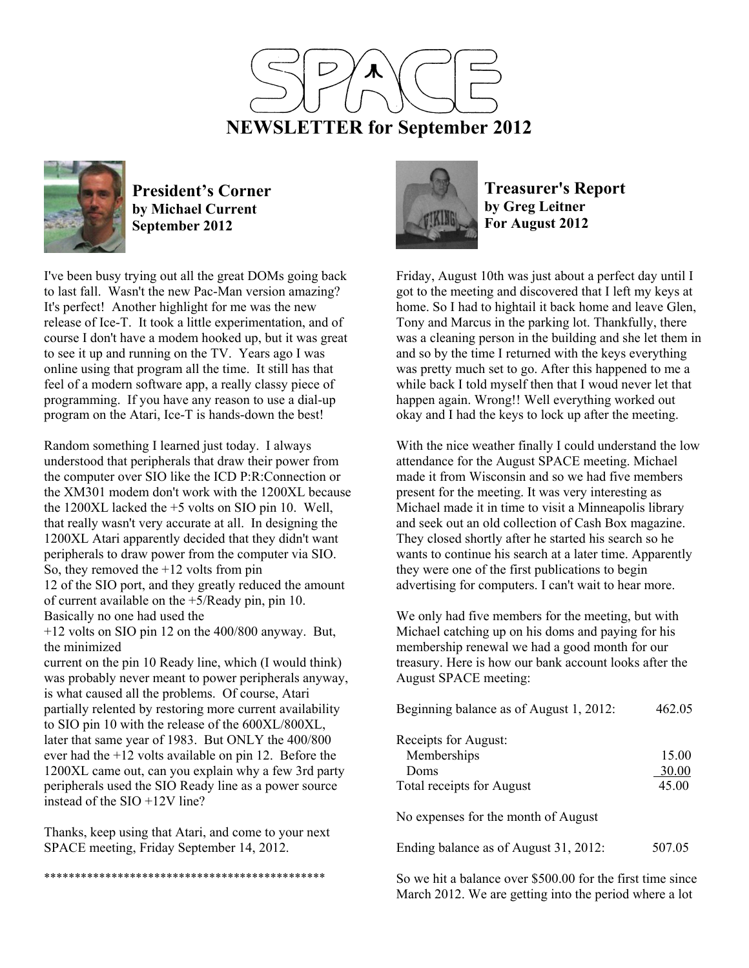



**President's Corner by Michael Current September 2012**

I've been busy trying out all the great DOMs going back to last fall. Wasn't the new Pac-Man version amazing? It's perfect! Another highlight for me was the new release of Ice-T. It took a little experimentation, and of course I don't have a modem hooked up, but it was great to see it up and running on the TV. Years ago I was online using that program all the time. It still has that feel of a modern software app, a really classy piece of programming. If you have any reason to use a dial-up program on the Atari, Ice-T is hands-down the best!

Random something I learned just today. I always understood that peripherals that draw their power from the computer over SIO like the ICD P:R:Connection or the XM301 modem don't work with the 1200XL because the 1200XL lacked the +5 volts on SIO pin 10. Well, that really wasn't very accurate at all. In designing the 1200XL Atari apparently decided that they didn't want peripherals to draw power from the computer via SIO. So, they removed the +12 volts from pin 12 of the SIO port, and they greatly reduced the amount of current available on the +5/Ready pin, pin 10. Basically no one had used the +12 volts on SIO pin 12 on the 400/800 anyway. But,

the minimized

current on the pin 10 Ready line, which (I would think) was probably never meant to power peripherals anyway, is what caused all the problems. Of course, Atari partially relented by restoring more current availability to SIO pin 10 with the release of the 600XL/800XL, later that same year of 1983. But ONLY the 400/800 ever had the +12 volts available on pin 12. Before the 1200XL came out, can you explain why a few 3rd party peripherals used the SIO Ready line as a power source instead of the SIO +12V line?

Thanks, keep using that Atari, and come to your next SPACE meeting, Friday September 14, 2012.

\*\*\*\*\*\*\*\*\*\*\*\*\*\*\*\*\*\*\*\*\*\*\*\*\*\*\*\*\*\*\*\*\*\*\*\*\*\*\*\*\*\*\*\*\*\*

**Treasurer's Report by Greg Leitner For August 2012** 

Friday, August 10th was just about a perfect day until I got to the meeting and discovered that I left my keys at home. So I had to hightail it back home and leave Glen, Tony and Marcus in the parking lot. Thankfully, there was a cleaning person in the building and she let them in and so by the time I returned with the keys everything was pretty much set to go. After this happened to me a while back I told myself then that I woud never let that happen again. Wrong!! Well everything worked out okay and I had the keys to lock up after the meeting.

With the nice weather finally I could understand the low attendance for the August SPACE meeting. Michael made it from Wisconsin and so we had five members present for the meeting. It was very interesting as Michael made it in time to visit a Minneapolis library and seek out an old collection of Cash Box magazine. They closed shortly after he started his search so he wants to continue his search at a later time. Apparently they were one of the first publications to begin advertising for computers. I can't wait to hear more.

We only had five members for the meeting, but with Michael catching up on his doms and paying for his membership renewal we had a good month for our treasury. Here is how our bank account looks after the August SPACE meeting:

| Beginning balance as of August 1, 2012:                                  | 462.05                  |
|--------------------------------------------------------------------------|-------------------------|
| Receipts for August:<br>Memberships<br>Doms<br>Total receipts for August | 15.00<br>30.00<br>45.00 |
| No expenses for the month of August                                      |                         |
| Ending balance as of August 31, 2012:                                    | 507.05                  |

So we hit a balance over \$500.00 for the first time since March 2012. We are getting into the period where a lot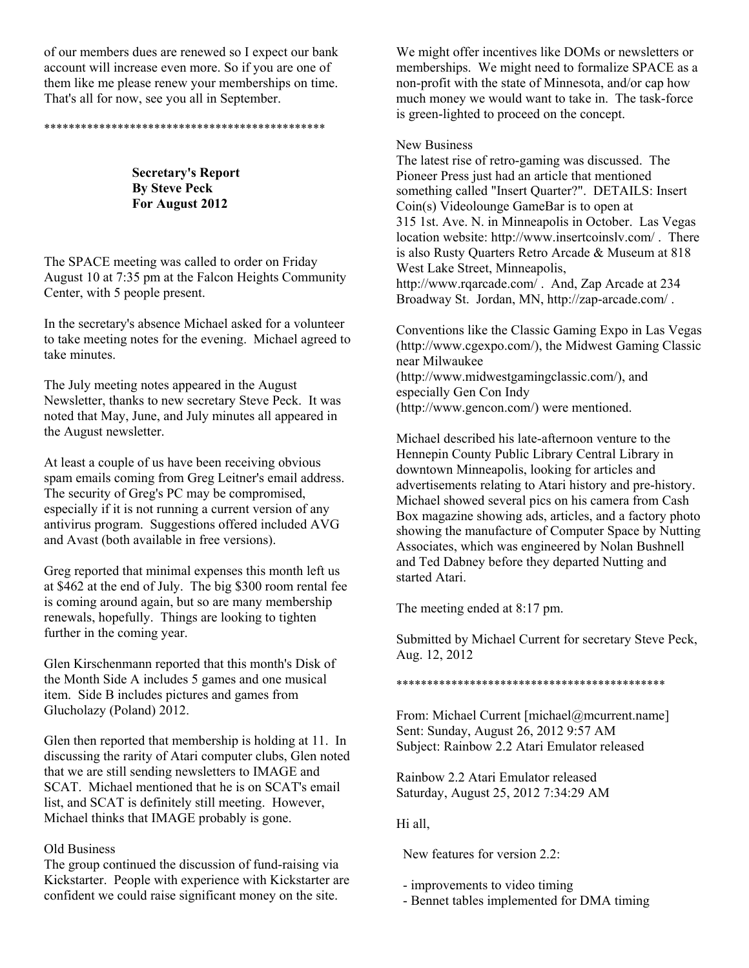of our members dues are renewed so I expect our bank account will increase even more. So if you are one of them like me please renew your memberships on time. That's all for now, see you all in September.

\*\*\*\*\*\*\*\*\*\*\*\*\*\*\*\*\*\*\*\*\*\*\*\*\*\*\*\*\*\*\*\*\*\*\*\*\*\*\*\*\*\*\*\*\*\*

**Secretary's Report By Steve Peck For August 2012** 

The SPACE meeting was called to order on Friday August 10 at 7:35 pm at the Falcon Heights Community Center, with 5 people present.

In the secretary's absence Michael asked for a volunteer to take meeting notes for the evening. Michael agreed to take minutes.

The July meeting notes appeared in the August Newsletter, thanks to new secretary Steve Peck. It was noted that May, June, and July minutes all appeared in the August newsletter.

At least a couple of us have been receiving obvious spam emails coming from Greg Leitner's email address. The security of Greg's PC may be compromised, especially if it is not running a current version of any antivirus program. Suggestions offered included AVG and Avast (both available in free versions).

Greg reported that minimal expenses this month left us at \$462 at the end of July. The big \$300 room rental fee is coming around again, but so are many membership renewals, hopefully. Things are looking to tighten further in the coming year.

Glen Kirschenmann reported that this month's Disk of the Month Side A includes 5 games and one musical item. Side B includes pictures and games from Glucholazy (Poland) 2012.

Glen then reported that membership is holding at 11. In discussing the rarity of Atari computer clubs, Glen noted that we are still sending newsletters to IMAGE and SCAT. Michael mentioned that he is on SCAT's email list, and SCAT is definitely still meeting. However, Michael thinks that IMAGE probably is gone.

## Old Business

The group continued the discussion of fund-raising via Kickstarter. People with experience with Kickstarter are confident we could raise significant money on the site.

We might offer incentives like DOMs or newsletters or memberships. We might need to formalize SPACE as a non-profit with the state of Minnesota, and/or cap how much money we would want to take in. The task-force is green-lighted to proceed on the concept.

### New Business

The latest rise of retro-gaming was discussed. The Pioneer Press just had an article that mentioned something called "Insert Quarter?". DETAILS: Insert Coin(s) Videolounge GameBar is to open at 315 1st. Ave. N. in Minneapolis in October. Las Vegas location website: http://www.insertcoinslv.com/ . There is also Rusty Quarters Retro Arcade & Museum at 818 West Lake Street, Minneapolis, http://www.rqarcade.com/ . And, Zap Arcade at 234 Broadway St. Jordan, MN, http://zap-arcade.com/ .

Conventions like the Classic Gaming Expo in Las Vegas (http://www.cgexpo.com/), the Midwest Gaming Classic near Milwaukee (http://www.midwestgamingclassic.com/), and especially Gen Con Indy (http://www.gencon.com/) were mentioned.

Michael described his late-afternoon venture to the Hennepin County Public Library Central Library in downtown Minneapolis, looking for articles and advertisements relating to Atari history and pre-history. Michael showed several pics on his camera from Cash Box magazine showing ads, articles, and a factory photo showing the manufacture of Computer Space by Nutting Associates, which was engineered by Nolan Bushnell and Ted Dabney before they departed Nutting and started Atari.

The meeting ended at 8:17 pm.

Submitted by Michael Current for secretary Steve Peck, Aug. 12, 2012

\*\*\*\*\*\*\*\*\*\*\*\*\*\*\*\*\*\*\*\*\*\*\*\*\*\*\*\*\*\*\*\*\*\*\*\*\*\*\*\*\*\*\*\*

From: Michael Current [michael@mcurrent.name] Sent: Sunday, August 26, 2012 9:57 AM Subject: Rainbow 2.2 Atari Emulator released

Rainbow 2.2 Atari Emulator released Saturday, August 25, 2012 7:34:29 AM

Hi all,

New features for version 2.2:

- improvements to video timing
- Bennet tables implemented for DMA timing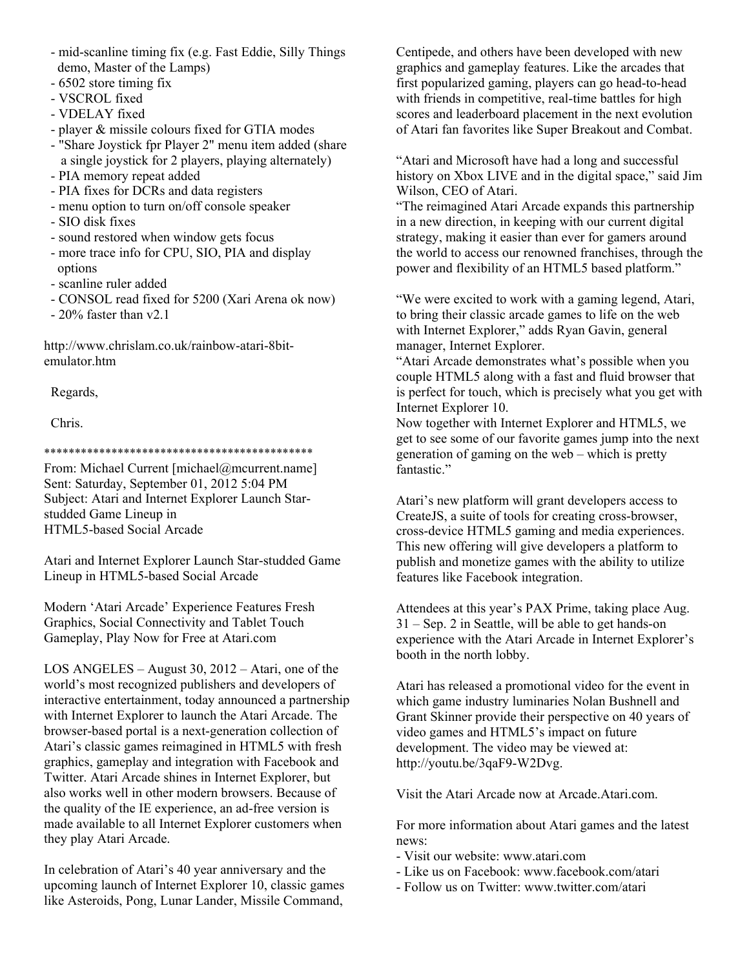- mid-scanline timing fix (e.g. Fast Eddie, Silly Things demo, Master of the Lamps)
- 6502 store timing fix
- VSCROL fixed
- VDELAY fixed
- player & missile colours fixed for GTIA modes
- "Share Joystick fpr Player 2" menu item added (share a single joystick for 2 players, playing alternately)
- PIA memory repeat added
- PIA fixes for DCRs and data registers
- menu option to turn on/off console speaker
- SIO disk fixes
- sound restored when window gets focus
- more trace info for CPU, SIO, PIA and display options
- scanline ruler added
- CONSOL read fixed for 5200 (Xari Arena ok now)
- 20% faster than v2.1

http://www.chrislam.co.uk/rainbow-atari-8bitemulator.htm

Regards,

Chris.

\*\*\*\*\*\*\*\*\*\*\*\*\*\*\*\*\*\*\*\*\*\*\*\*\*\*\*\*\*\*\*\*\*\*\*\*\*\*\*\*\*\*\*\*

From: Michael Current [michael@mcurrent.name] Sent: Saturday, September 01, 2012 5:04 PM Subject: Atari and Internet Explorer Launch Starstudded Game Lineup in HTML5-based Social Arcade

Atari and Internet Explorer Launch Star-studded Game Lineup in HTML5-based Social Arcade

Modern 'Atari Arcade' Experience Features Fresh Graphics, Social Connectivity and Tablet Touch Gameplay, Play Now for Free at Atari.com

LOS ANGELES – August 30, 2012 – Atari, one of the world's most recognized publishers and developers of interactive entertainment, today announced a partnership with Internet Explorer to launch the Atari Arcade. The browser-based portal is a next-generation collection of Atari's classic games reimagined in HTML5 with fresh graphics, gameplay and integration with Facebook and Twitter. Atari Arcade shines in Internet Explorer, but also works well in other modern browsers. Because of the quality of the IE experience, an ad-free version is made available to all Internet Explorer customers when they play Atari Arcade.

In celebration of Atari's 40 year anniversary and the upcoming launch of Internet Explorer 10, classic games like Asteroids, Pong, Lunar Lander, Missile Command,

Centipede, and others have been developed with new graphics and gameplay features. Like the arcades that first popularized gaming, players can go head-to-head with friends in competitive, real-time battles for high scores and leaderboard placement in the next evolution of Atari fan favorites like Super Breakout and Combat.

"Atari and Microsoft have had a long and successful history on Xbox LIVE and in the digital space," said Jim Wilson, CEO of Atari.

"The reimagined Atari Arcade expands this partnership in a new direction, in keeping with our current digital strategy, making it easier than ever for gamers around the world to access our renowned franchises, through the power and flexibility of an HTML5 based platform."

"We were excited to work with a gaming legend, Atari, to bring their classic arcade games to life on the web with Internet Explorer," adds Ryan Gavin, general manager, Internet Explorer.

"Atari Arcade demonstrates what's possible when you couple HTML5 along with a fast and fluid browser that is perfect for touch, which is precisely what you get with Internet Explorer 10.

Now together with Internet Explorer and HTML5, we get to see some of our favorite games jump into the next generation of gaming on the web – which is pretty fantastic."

Atari's new platform will grant developers access to CreateJS, a suite of tools for creating cross-browser, cross-device HTML5 gaming and media experiences. This new offering will give developers a platform to publish and monetize games with the ability to utilize features like Facebook integration.

Attendees at this year's PAX Prime, taking place Aug. 31 – Sep. 2 in Seattle, will be able to get hands-on experience with the Atari Arcade in Internet Explorer's booth in the north lobby.

Atari has released a promotional video for the event in which game industry luminaries Nolan Bushnell and Grant Skinner provide their perspective on 40 years of video games and HTML5's impact on future development. The video may be viewed at: http://youtu.be/3qaF9-W2Dvg.

Visit the Atari Arcade now at Arcade.Atari.com.

For more information about Atari games and the latest news:

- Visit our website: www.atari.com
- Like us on Facebook: www.facebook.com/atari
- Follow us on Twitter: www.twitter.com/atari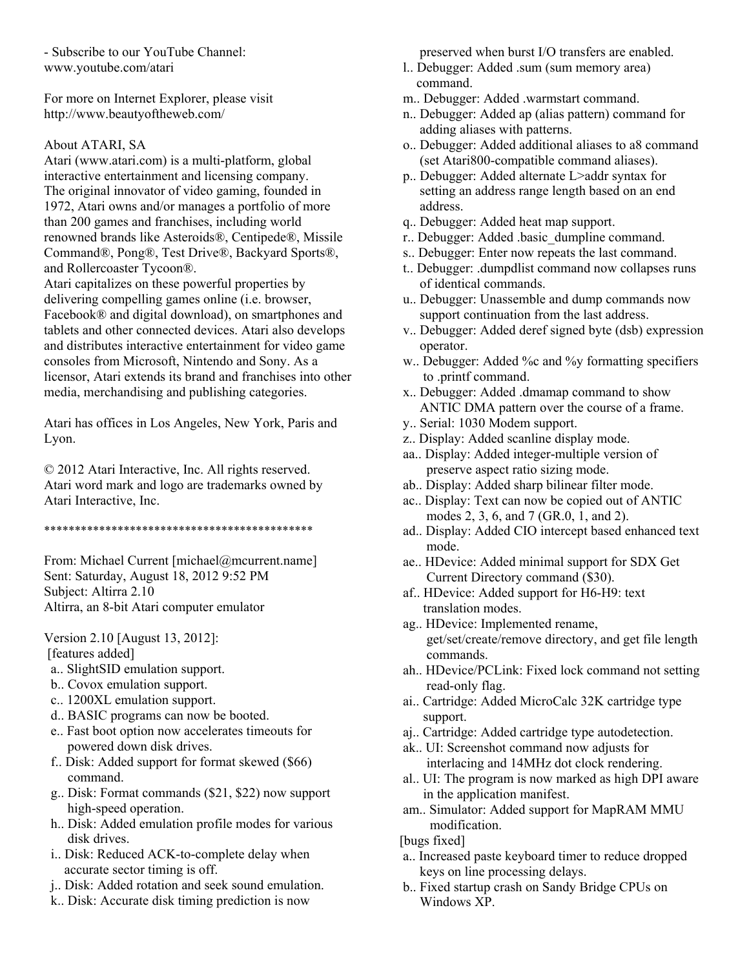- Subscribe to our YouTube Channel: www.youtube.com/atari

For more on Internet Explorer, please visit http://www.beautyoftheweb.com/

#### About ATARI, SA

Atari (www.atari.com) is a multi-platform, global interactive entertainment and licensing company. The original innovator of video gaming, founded in 1972, Atari owns and/or manages a portfolio of more than 200 games and franchises, including world renowned brands like Asteroids®, Centipede®, Missile Command®, Pong®, Test Drive®, Backyard Sports®, and Rollercoaster Tycoon®.

Atari capitalizes on these powerful properties by delivering compelling games online (i.e. browser, Facebook® and digital download), on smartphones and tablets and other connected devices. Atari also develops and distributes interactive entertainment for video game consoles from Microsoft, Nintendo and Sony. As a licensor, Atari extends its brand and franchises into other media, merchandising and publishing categories.

Atari has offices in Los Angeles, New York, Paris and Lyon.

© 2012 Atari Interactive, Inc. All rights reserved. Atari word mark and logo are trademarks owned by Atari Interactive, Inc.

\*\*\*\*\*\*\*\*\*\*\*\*\*\*\*\*\*\*\*\*\*\*\*\*\*\*\*\*\*\*\*\*\*\*\*\*\*\*\*\*\*\*\*\*

From: Michael Current [michael@mcurrent.name] Sent: Saturday, August 18, 2012 9:52 PM Subject: Altirra 2.10 Altirra, an 8-bit Atari computer emulator

Version 2.10 [August 13, 2012]: [features added]

- a.. SlightSID emulation support.
- b.. Covox emulation support.
- c.. 1200XL emulation support.
- d.. BASIC programs can now be booted.
- e.. Fast boot option now accelerates timeouts for powered down disk drives.
- f.. Disk: Added support for format skewed (\$66) command.
- g.. Disk: Format commands (\$21, \$22) now support high-speed operation.
- h.. Disk: Added emulation profile modes for various disk drives.
- i.. Disk: Reduced ACK-to-complete delay when accurate sector timing is off.
- j.. Disk: Added rotation and seek sound emulation.
- k.. Disk: Accurate disk timing prediction is now

preserved when burst I/O transfers are enabled.

- l.. Debugger: Added .sum (sum memory area) command.
- m.. Debugger: Added .warmstart command.
- n.. Debugger: Added ap (alias pattern) command for adding aliases with patterns.
- o.. Debugger: Added additional aliases to a8 command (set Atari800-compatible command aliases).
- p.. Debugger: Added alternate L>addr syntax for setting an address range length based on an end address.
- q.. Debugger: Added heat map support.
- r.. Debugger: Added .basic\_dumpline command.
- s.. Debugger: Enter now repeats the last command.
- t.. Debugger: .dumpdlist command now collapses runs of identical commands.
- u.. Debugger: Unassemble and dump commands now support continuation from the last address.
- v.. Debugger: Added deref signed byte (dsb) expression operator.
- w.. Debugger: Added %c and %y formatting specifiers to .printf command.
- x.. Debugger: Added .dmamap command to show ANTIC DMA pattern over the course of a frame.
- y.. Serial: 1030 Modem support.
- z.. Display: Added scanline display mode.
- aa.. Display: Added integer-multiple version of preserve aspect ratio sizing mode.
- ab.. Display: Added sharp bilinear filter mode.
- ac.. Display: Text can now be copied out of ANTIC modes 2, 3, 6, and 7 (GR.0, 1, and 2).
- ad.. Display: Added CIO intercept based enhanced text mode.
- ae.. HDevice: Added minimal support for SDX Get Current Directory command (\$30).
- af.. HDevice: Added support for H6-H9: text translation modes.
- ag.. HDevice: Implemented rename, get/set/create/remove directory, and get file length commands.
- ah.. HDevice/PCLink: Fixed lock command not setting read-only flag.
- ai.. Cartridge: Added MicroCalc 32K cartridge type support.
- aj.. Cartridge: Added cartridge type autodetection.
- ak.. UI: Screenshot command now adjusts for interlacing and 14MHz dot clock rendering.
- al.. UI: The program is now marked as high DPI aware in the application manifest.
- am.. Simulator: Added support for MapRAM MMU modification.
- [bugs fixed]
- a.. Increased paste keyboard timer to reduce dropped keys on line processing delays.
- b.. Fixed startup crash on Sandy Bridge CPUs on Windows XP.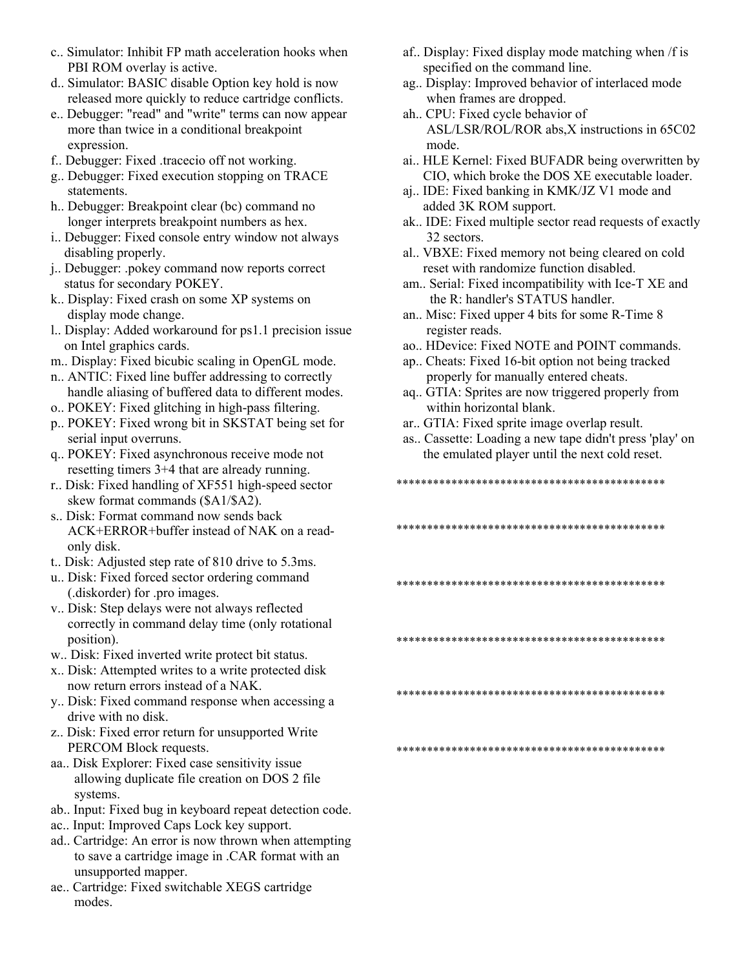- c.. Simulator: Inhibit FP math acceleration hooks when PBI ROM overlay is active.
- d.. Simulator: BASIC disable Option key hold is now released more quickly to reduce cartridge conflicts.
- e.. Debugger: "read" and "write" terms can now appear more than twice in a conditional breakpoint expression.
- f.. Debugger: Fixed .tracecio off not working.
- g.. Debugger: Fixed execution stopping on TRACE statements.
- h.. Debugger: Breakpoint clear (bc) command no longer interprets breakpoint numbers as hex.
- i.. Debugger: Fixed console entry window not always disabling properly.
- j.. Debugger: .pokey command now reports correct status for secondary POKEY.
- k.. Display: Fixed crash on some XP systems on display mode change.
- l.. Display: Added workaround for ps1.1 precision issue on Intel graphics cards.
- m.. Display: Fixed bicubic scaling in OpenGL mode.
- n.. ANTIC: Fixed line buffer addressing to correctly handle aliasing of buffered data to different modes.
- o.. POKEY: Fixed glitching in high-pass filtering.
- p.. POKEY: Fixed wrong bit in SKSTAT being set for serial input overruns.
- q.. POKEY: Fixed asynchronous receive mode not resetting timers 3+4 that are already running.
- r.. Disk: Fixed handling of XF551 high-speed sector skew format commands (\$A1/\$A2).
- s.. Disk: Format command now sends back ACK+ERROR+buffer instead of NAK on a read only disk.
- t.. Disk: Adjusted step rate of 810 drive to 5.3ms.
- u.. Disk: Fixed forced sector ordering command (.diskorder) for .pro images.
- v.. Disk: Step delays were not always reflected correctly in command delay time (only rotational position).
- w.. Disk: Fixed inverted write protect bit status.
- x.. Disk: Attempted writes to a write protected disk now return errors instead of a NAK.
- y.. Disk: Fixed command response when accessing a drive with no disk.
- z.. Disk: Fixed error return for unsupported Write PERCOM Block requests.
- aa.. Disk Explorer: Fixed case sensitivity issue allowing duplicate file creation on DOS 2 file systems.
- ab.. Input: Fixed bug in keyboard repeat detection code.
- ac.. Input: Improved Caps Lock key support.
- ad.. Cartridge: An error is now thrown when attempting to save a cartridge image in .CAR format with an unsupported mapper.
- ae.. Cartridge: Fixed switchable XEGS cartridge modes.
- af.. Display: Fixed display mode matching when /f is specified on the command line.
- ag.. Display: Improved behavior of interlaced mode when frames are dropped.
- ah.. CPU: Fixed cycle behavior of ASL/LSR/ROL/ROR abs,X instructions in 65C02 mode.
- ai.. HLE Kernel: Fixed BUFADR being overwritten by CIO, which broke the DOS XE executable loader.
- aj.. IDE: Fixed banking in KMK/JZ V1 mode and added 3K ROM support.
- ak.. IDE: Fixed multiple sector read requests of exactly 32 sectors.
- al.. VBXE: Fixed memory not being cleared on cold reset with randomize function disabled.
- am.. Serial: Fixed incompatibility with Ice-T XE and the R: handler's STATUS handler.
- an.. Misc: Fixed upper 4 bits for some R-Time 8 register reads.
- ao.. HDevice: Fixed NOTE and POINT commands.
- ap.. Cheats: Fixed 16-bit option not being tracked properly for manually entered cheats.
- aq.. GTIA: Sprites are now triggered properly from within horizontal blank.
- ar.. GTIA: Fixed sprite image overlap result.
- as.. Cassette: Loading a new tape didn't press 'play' on the emulated player until the next cold reset.
- \*\*\*\*\*\*\*\*\*\*\*\*\*\*\*\*\*\*\*\*\*\*\*\*\*\*\*\*\*\*\*\*\*\*\*\*\*\*\*\*\*\*\*\*
- \*\*\*\*\*\*\*\*\*\*\*\*\*\*\*\*\*\*\*\*\*\*\*\*\*\*\*\*\*\*\*\*\*\*\*\*\*\*\*\*\*\*\*\*
- \*\*\*\*\*\*\*\*\*\*\*\*\*\*\*\*\*\*\*\*\*\*\*\*\*\*\*\*\*\*\*\*\*\*\*\*\*\*\*\*\*\*\*\*
- \*\*\*\*\*\*\*\*\*\*\*\*\*\*\*\*\*\*\*\*\*\*\*\*\*\*\*\*\*\*\*\*\*\*\*\*\*\*\*\*\*\*\*\*
- \*\*\*\*\*\*\*\*\*\*\*\*\*\*\*\*\*\*\*\*\*\*\*\*\*\*\*\*\*\*\*\*\*\*\*\*\*\*\*\*\*\*\*\*

\*\*\*\*\*\*\*\*\*\*\*\*\*\*\*\*\*\*\*\*\*\*\*\*\*\*\*\*\*\*\*\*\*\*\*\*\*\*\*\*\*\*\*\*